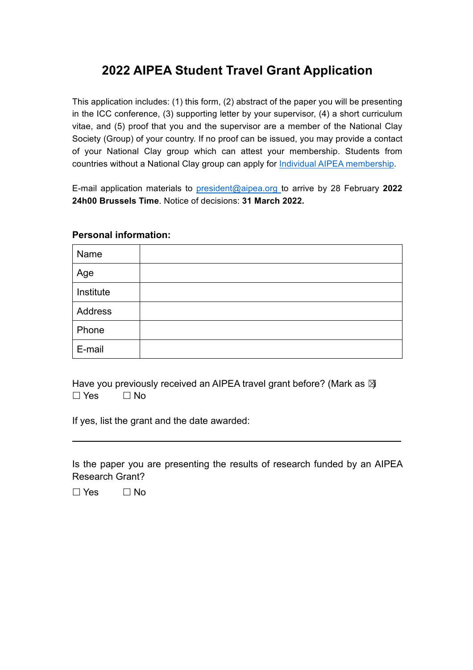## **2022 AIPEA Student Travel Grant Application**

This application includes: (1) this form, (2) abstract of the paper you will be presenting in the ICC conference, (3) supporting letter by your supervisor, (4) a short curriculum vitae, and (5) proof that you and the supervisor are a member of the National Clay Society (Group) of your country. If no proof can be issued, you may provide a contact of your National Clay group which can attest your membership. Students from countries without a National Clay group can apply for Individual AIPEA membership.

E-mail application materials to president@aipea.org to arrive by 28 February **2022 24h00 Brussels Time**. Notice of decisions: **31 March 2022.** 

## **Personal information:**

| Name      |  |
|-----------|--|
| Age       |  |
| Institute |  |
| Address   |  |
| Phone     |  |
| E-mail    |  |

Have you previously received an AIPEA travel grant before? (Mark as  $\boxtimes$  $\square$  Yes  $\square$  No

If yes, list the grant and the date awarded:

Is the paper you are presenting the results of research funded by an AIPEA Research Grant?

 $\Box$  Yes  $\Box$  No